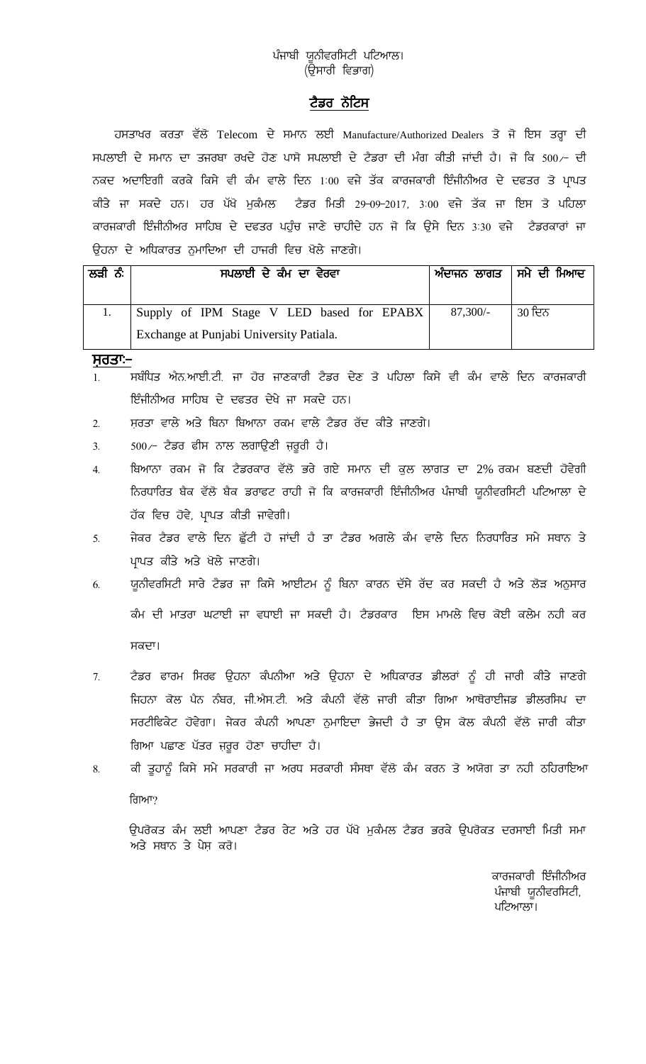## ਪੰਜਾਬੀ ਯੂਨੀਵਰਸਿਟੀ ਪਟਿਆਲ। (ਉਸਾਰੀ ਵਿਭਾਗ)

## ਟੈਡਰ ਨੋਟਿਸ

ਹਸਤਾਖਰ ਕਰਤਾ ਵੱਲੋਂ Telecom ਦੇ ਸਮਾਨ ਲਈ Manufacture/Authorized Dealers ਤੋਂ ਜੋ ਇਸ ਤਰ੍ਹਾ ਦੀ ਸਪਲਾਈ ਦੇ ਸਮਾਨ ਦਾ ਤਜਰਬਾ ਰਖਦੇ ਹੋਣ ਪਾਸੋ ਸਪਲਾਈ ਦੇ ਟੈਡਰਾ ਦੀ ਮੰਗ ਕੀਤੀ ਜਾਂਦੀ ਹੈ। ਜੋ ਕਿ 500/- ਦੀ ਨਕਦ ਅਦਾਇਗੀ ਕਰਕੇ ਕਿਸੇ ਵੀ ਕੰਮ ਵਾਲੇ ਦਿਨ 1:00 ਵਜੇ ਤੱਕ ਕਾਰਜਕਾਰੀ ਇੰਜੀਨੀਅਰ ਦੇ ਦਫਤਰ ਤੋ ਪਾਪਤ ਕੀਤੇ ਜਾ ਸਕਦੇ ਹਨ। ਹਰ ਪੱਖੋ ਮੁਕੰਮਲ ਟੈਡਰ ਮਿਤੀ 29-09-2017, 3:00 ਵਜੇ ਤੱਕ ਜਾ ਇਸ ਤੋ ਪਹਿਲਾ ਕਾਰਜਕਾਰੀ ਇੰਜੀਨੀਅਰ ਸਾਹਿਬ ਦੇ ਦਫਤਰ ਪਹੁੰਚ ਜਾਣੇ ਚਾਹੀਦੇ ਹਨ ਜੋ ਕਿ ਉਸੇ ਦਿਨ 3:30 ਵਜੇ ਟੈਡਰਕਾਰਾਂ ਜਾ ਉਹਨਾ ਦੇ ਅਧਿਕਾਰਤ ਨੁਮਾਦਿਆ ਦੀ ਹਾਜਰੀ ਵਿਚ ਖੋਲੇ ਜਾਣਗੇ।

| ਲੜੀ ਨੰ | ਸਪਲਾਈ ਦੇ ਕੰਮ ਦਾ ਵੇਰਵਾ                     | ਅੰਦਾਜਨ ਲਾਗਤ   ਸਮੇ ਦੀ ਮਿਆਦ |        |
|--------|-------------------------------------------|---------------------------|--------|
|        | Supply of IPM Stage V LED based for EPABX | $87,300/-$                | 30 ਦਿਨ |
|        | Exchange at Punjabi University Patiala.   |                           |        |

ਸਰਤਾ:–

- 1. ਸਬੰਧਿਤ ਐਨ.ਆਈ.ਟੀ. ਜਾ ਹੋਰ ਜਾਣਕਾਰੀ ਟੈਡਰ ਦੇਣ ਤੋ ਪਹਿਲਾ ਕਿਸੇ ਵੀ ਕੰਮ ਵਾਲੇ ਦਿਨ ਕਾਰਜਕਾਰੀ ਇੰਜੀਨੀਅਰ ਸਾਹਿਬ ਦੇ ਦਫਤਰ ਦੇਖੇ ਜਾ ਸਕਦੇ ਹਨ।
- 2. ਸਰਤਾ ਵਾਲੇ ਅਤੇ ਬਿਨਾ ਬਿਆਨਾ ਰਕਮ ਵਾਲੇ ਟੈਡਰ ਰੱਦ ਕੀਤੇ ਜਾਣਗੇ।
- $3.$  500 $\sim$  ਟੈਡਰ ਫੀਸ ਨਾਲ ਲਗਾਉਣੀ ਜ਼ਰੂਰੀ ਹੈ।
- 4. ਬਿਆਨਾ ਰਕਮ ਜੋ ਕਿ ਟੈਡਰਕਾਰ ਵੱਲੋਂ ਭਰੇ ਗਏ ਸਮਾਨ ਦੀ ਕੁਲ ਲਾਗਤ ਦਾ 2% ਰਕਮ ਬਣਦੀ ਹੋਵੇਗੀ ਨਿਰਧਾਰਿਤ ਬੈਕ ਵੱਲੋਂ ਬੈਕ ਡਰਾਫਟ ਰਾਹੀ ਜੋ ਕਿ ਕਾਰਜਕਾਰੀ ਇੰਜੀਨੀਅਰ ਪੰਜਾਬੀ ਯੂਨੀਵਰਸਿਟੀ ਪਟਿਆਲਾ ਦੇ ਹੱਕ ਵਿਚ ਹੋਵੇ, ਪ੍ਰਾਪਤ ਕੀਤੀ ਜਾਵੇਗੀ।
- <u>5. ਜੇਕਰ ਟੈਡਰ ਵਾਲੇ ਦਿਨ ਛੁੱਟੀ ਹੋ ਜਾਂਦੀ ਹੈ ਤਾ ਟੈਡਰ ਅਗਲੇ ਕੰਮ ਵਾਲੇ ਦਿਨ ਨਿਰਧਾਰਿਤ ਸਮੇ ਸਥਾਨ ਤੇ </u> ਪਾਪਤ ਕੀਤੇ ਅਤੇ ਖੋਲੇ ਜਾਣਗੇ।
- <u>6. ਯੂਨੀਵਰਸਿਟੀ ਸਾਰੇ ਟੈਡਰ ਜਾ ਕਿਸੇ ਆਈਟਮ ਨੂੰ ਬਿਨਾ ਕਾਰਨ ਦੱਸੇ ਰੱਦ ਕਰ ਸਕਦੀ ਹੈ ਅਤੇ ਲੋੜ ਅਨੁਸਾਰ</u> ਕੰਮ ਦੀ ਮਾਤਰਾ ਘਟਾਈ ਜਾ ਵਧਾਈ ਜਾ ਸਕਦੀ ਹੈ। ਟੈਡਰਕਾਰ ਇਸ ਮਾਮਲੇ ਵਿਚ ਕੋਈ ਕਲੇਮ ਨਹੀ ਕਰ ਸਕਦਾ।
- 7. ਟੈਡਰ ਫਾਰਮ ਸਿਰਫ ਉਹਨਾ ਕੰਪਨੀਆ ਅਤੇ ਉਹਨਾ ਦੇ ਅਧਿਕਾਰਤ ਡੀਲਰਾਂ ਨੂੰ ਹੀ ਜਾਰੀ ਕੀਤੇ ਜਾਣਗੇ ਜਿਹਨਾ ਕੋਲ ਪੈਨ ਨੰਬਰ, ਜੀ.ਐਸ.ਟੀ. ਅਤੇ ਕੰਪਨੀ ਵੱਲੋਂ ਜਾਰੀ ਕੀਤਾ ਗਿਆ ਆਥੋਰਾਈਜਡ ਡੀਲਰਸਿਪ ਦਾ ਸਰਟੀਫਿਕੇਟ ਹੋਵੇਗਾ। ਜੇਕਰ ਕੰਪਨੀ ਆਪਣਾ ਨੁਮਾਇਦਾ ਭੇਜਦੀ ਹੈ ਤਾ ਉਸ ਕੋਲ ਕੰਪਨੀ ਵੱਲੋਂ ਜਾਰੀ ਕੀਤਾ ਗਿਆ ਪਛਾਣ ਪੱਤਰ ਜ਼ਰੂਰ ਹੋਣਾ ਚਾਹੀਦਾ ਹੈ।
- <u>8. ਕੀ ਤੁਹਾਨੂੰ ਕਿਸੇ ਸਮੇ ਸਰਕਾਰੀ ਜਾ ਅਰਧ ਸਰਕਾਰੀ ਸੰਸਥਾ ਵੱਲੋ ਕੰਮ ਕਰਨ ਤੋ ਅਯੋਗ ਤਾ ਨਹੀ ਠਹਿਰਾਇਆ</u> ਗਿਆ?

ਉਪਰੋਕਤ ਕੰਮ ਲਈ ਆਪਣਾ ਟੈਡਰ ਰੇਟ ਅਤੇ ਹਰ ਪੱਖੋ ਮੁਕੰਮਲ ਟੈਡਰ ਭਰਕੇ ਉਪਰੋਕਤ ਦਰਸਾਈ ਮਿਤੀ ਸਮਾ ਅਤੇ ਸਥਾਨ ਤੇ ਪੇਸ਼ ਕਰੋ।

> ਕਾਰਜਕਾਰੀ ਇੰਜੀਨੀਅਰ ਪੰਜਾਬੀ ਯੂਨੀਵਰਸਿਟੀ, ਪਟਿਆਲਾ।